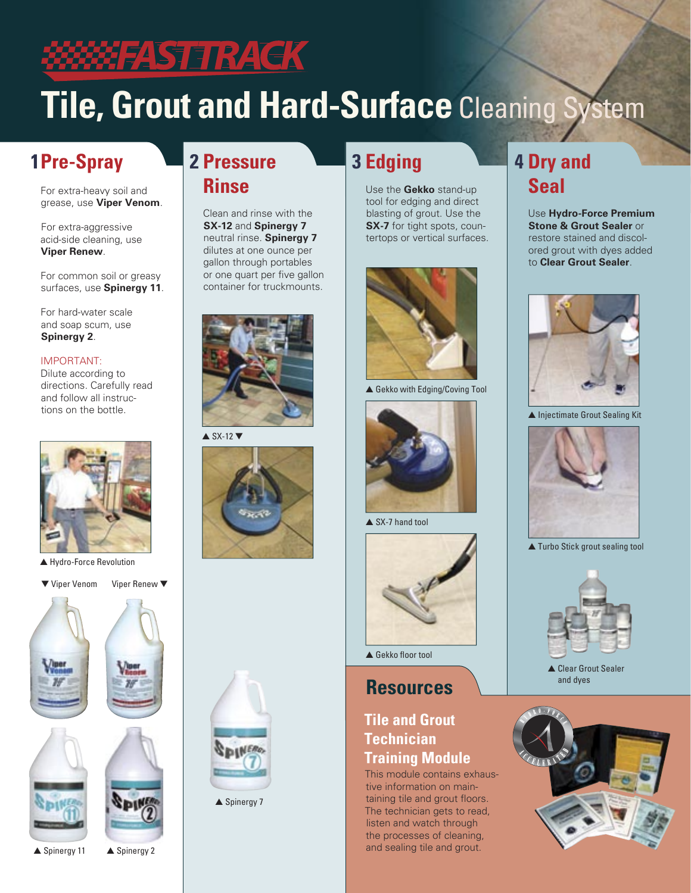### <u> MAHFASTETRACK</u>

**2 Pressure**

 Clean and rinse with the **SX-12** and **Spinergy 7** neutral rinse. **Spinergy 7** dilutes at one ounce per gallon through portables or one quart per five gallon container for truckmounts.

 **Rinse**

# **Tile, Grout and Hard-Surface** Cleaning System

### **1 Pre-Spray**

 For extra-heavy soil and grease, use **Viper Venom**.

For extra-aggressive acid-side cleaning, use **Viper Renew**.

 For common soil or greasy surfaces, use **Spinergy 11**.

 For hard-water scale and soap scum, use **Spinergy 2**.

#### IMPORTANT:

 Dilute according to directions. Carefully read and follow all instructions on the bottle.



▲ Hydro-Force Revolution

▼ Viper Venom Viper Renew ▼



# $\triangle$  SX-12





 $\triangle$  Spinergy 7

### **3 Edging**

 Use the **Gekko** stand-up tool for edging and direct blasting of grout. Use the **SX-7** for tight spots, countertops or vertical surfaces.



▲ Gekko with Edging/Coving Tool



▲ SX-7 hand tool



 $\triangle$  Gekko floor tool

### **Resources**

### **Tile and Grout Technician Training Module**

This module contains exhaustive information on maintaining tile and grout floors. The technician gets to read, listen and watch through the processes of cleaning, **A** Spinergy 2 **and sealing tile and grout.** 

### **4 Dry and Seal**

 Use **Hydro-Force Premium Stone & Grout Sealer** or restore stained and discolored grout with dyes added to **Clear Grout Sealer**.



▲ Injectimate Grout Sealing Kit



▲ Turbo Stick grout sealing tool



▲ Clear Grout Sealer and dyes



▲ Spinergy 11